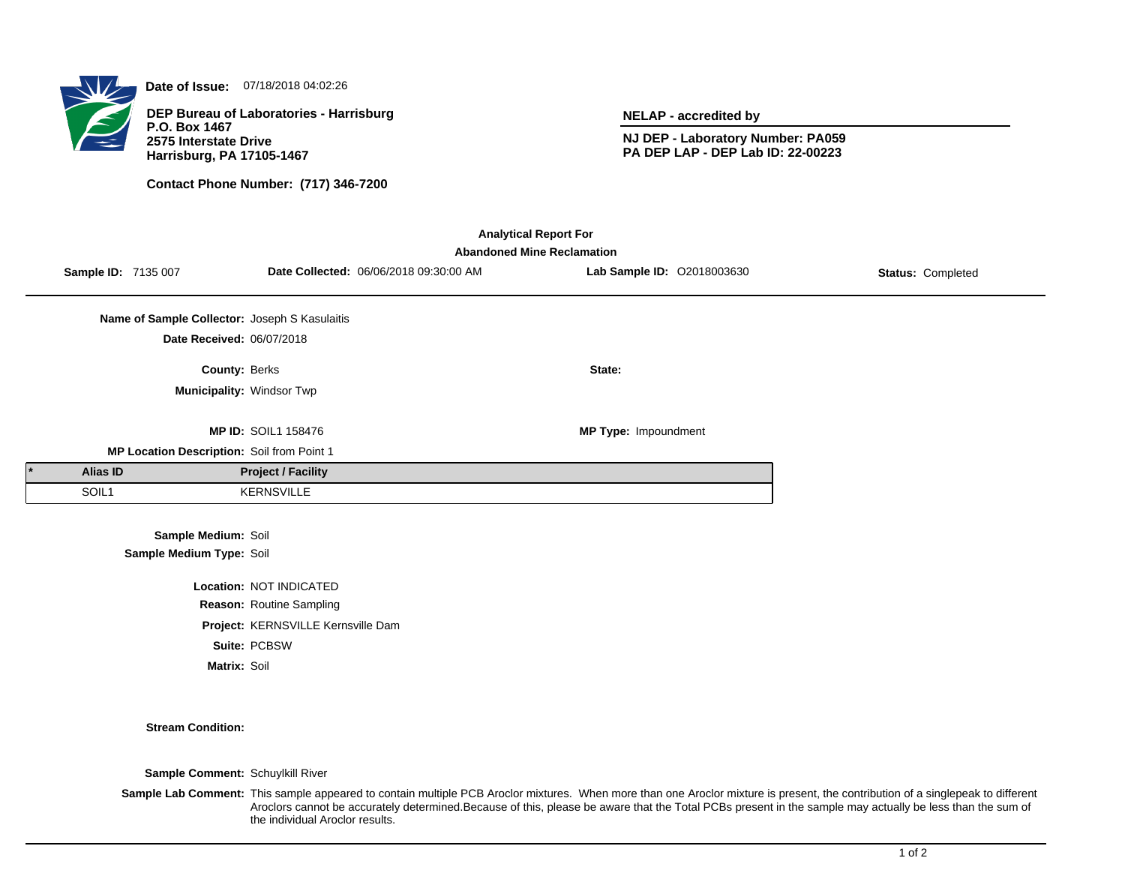

**Date of Issue:** 07/18/2018 04:02:26

**DEP Bureau of Laboratories - Harrisburg P.O. Box 1467 2575 Interstate Drive Harrisburg, PA 17105-1467**

**Contact Phone Number: (717) 346-7200**

**NELAP - accredited by**

**NJ DEP - Laboratory Number: PA059 PA DEP LAP - DEP Lab ID: 22-00223**

| <b>Analytical Report For</b>                                                                                                                                        |                                               |                            |  |                      |  |  |  |  |  |
|---------------------------------------------------------------------------------------------------------------------------------------------------------------------|-----------------------------------------------|----------------------------|--|----------------------|--|--|--|--|--|
| <b>Abandoned Mine Reclamation</b><br>Lab Sample ID: 02018003630<br>Date Collected: 06/06/2018 09:30:00 AM<br><b>Sample ID: 7135 007</b><br><b>Status: Completed</b> |                                               |                            |  |                      |  |  |  |  |  |
|                                                                                                                                                                     |                                               |                            |  |                      |  |  |  |  |  |
|                                                                                                                                                                     | Name of Sample Collector: Joseph S Kasulaitis |                            |  |                      |  |  |  |  |  |
|                                                                                                                                                                     | Date Received: 06/07/2018                     |                            |  |                      |  |  |  |  |  |
|                                                                                                                                                                     | <b>County: Berks</b>                          |                            |  | State:               |  |  |  |  |  |
|                                                                                                                                                                     | Municipality: Windsor Twp                     |                            |  |                      |  |  |  |  |  |
|                                                                                                                                                                     |                                               |                            |  |                      |  |  |  |  |  |
|                                                                                                                                                                     | MP Location Description: Soil from Point 1    | <b>MP ID: SOIL1 158476</b> |  | MP Type: Impoundment |  |  |  |  |  |
| <b>Alias ID</b>                                                                                                                                                     |                                               | <b>Project / Facility</b>  |  |                      |  |  |  |  |  |
| SOIL1                                                                                                                                                               |                                               | <b>KERNSVILLE</b>          |  |                      |  |  |  |  |  |
|                                                                                                                                                                     |                                               |                            |  |                      |  |  |  |  |  |
|                                                                                                                                                                     | Sample Medium: Soil                           |                            |  |                      |  |  |  |  |  |
|                                                                                                                                                                     | Sample Medium Type: Soil                      |                            |  |                      |  |  |  |  |  |
| Location: NOT INDICATED                                                                                                                                             |                                               |                            |  |                      |  |  |  |  |  |
|                                                                                                                                                                     |                                               | Reason: Routine Sampling   |  |                      |  |  |  |  |  |

**Project:** KERNSVILLE Kernsville Dam **Suite:** PCBSW

**Matrix:** Soil

**Stream Condition:**

**Sample Comment:** Schuylkill River

Sample Lab Comment: This sample appeared to contain multiple PCB Aroclor mixtures. When more than one Aroclor mixture is present, the contribution of a singlepeak to different Aroclors cannot be accurately determined.Because of this, please be aware that the Total PCBs present in the sample may actually be less than the sum of the individual Aroclor results.